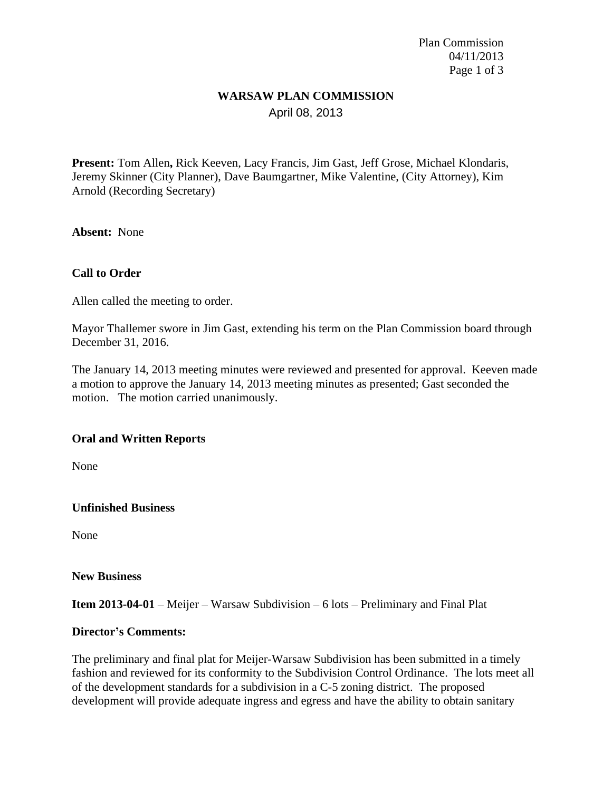Plan Commission 04/11/2013 Page 1 of 3

## **WARSAW PLAN COMMISSION** April 08, 2013

**Present:** Tom Allen**,** Rick Keeven, Lacy Francis, Jim Gast, Jeff Grose, Michael Klondaris, Jeremy Skinner (City Planner), Dave Baumgartner, Mike Valentine, (City Attorney), Kim Arnold (Recording Secretary)

**Absent:** None

### **Call to Order**

Allen called the meeting to order.

Mayor Thallemer swore in Jim Gast, extending his term on the Plan Commission board through December 31, 2016.

The January 14, 2013 meeting minutes were reviewed and presented for approval. Keeven made a motion to approve the January 14, 2013 meeting minutes as presented; Gast seconded the motion. The motion carried unanimously.

#### **Oral and Written Reports**

None

#### **Unfinished Business**

None

#### **New Business**

#### **Item 2013-04-01** – Meijer *–* Warsaw Subdivision – 6 lots – Preliminary and Final Plat

#### **Director's Comments:**

The preliminary and final plat for Meijer-Warsaw Subdivision has been submitted in a timely fashion and reviewed for its conformity to the Subdivision Control Ordinance. The lots meet all of the development standards for a subdivision in a C-5 zoning district. The proposed development will provide adequate ingress and egress and have the ability to obtain sanitary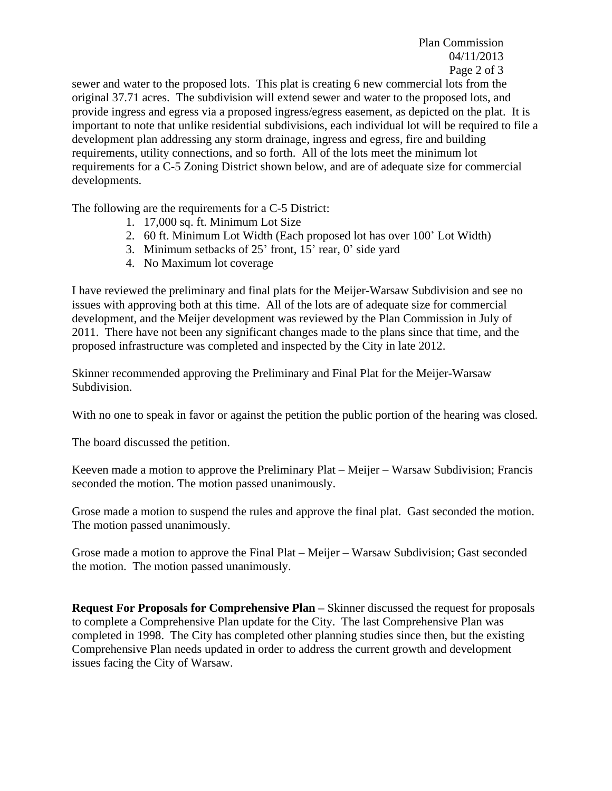Plan Commission 04/11/2013 Page 2 of 3

sewer and water to the proposed lots. This plat is creating 6 new commercial lots from the original 37.71 acres. The subdivision will extend sewer and water to the proposed lots, and provide ingress and egress via a proposed ingress/egress easement, as depicted on the plat. It is important to note that unlike residential subdivisions, each individual lot will be required to file a development plan addressing any storm drainage, ingress and egress, fire and building requirements, utility connections, and so forth. All of the lots meet the minimum lot requirements for a C-5 Zoning District shown below, and are of adequate size for commercial developments.

The following are the requirements for a C-5 District:

- 1. 17,000 sq. ft. Minimum Lot Size
- 2. 60 ft. Minimum Lot Width (Each proposed lot has over 100' Lot Width)
- 3. Minimum setbacks of 25' front, 15' rear, 0' side yard
- 4. No Maximum lot coverage

I have reviewed the preliminary and final plats for the Meijer-Warsaw Subdivision and see no issues with approving both at this time. All of the lots are of adequate size for commercial development, and the Meijer development was reviewed by the Plan Commission in July of 2011. There have not been any significant changes made to the plans since that time, and the proposed infrastructure was completed and inspected by the City in late 2012.

Skinner recommended approving the Preliminary and Final Plat for the Meijer-Warsaw Subdivision.

With no one to speak in favor or against the petition the public portion of the hearing was closed.

The board discussed the petition.

Keeven made a motion to approve the Preliminary Plat – Meijer – Warsaw Subdivision; Francis seconded the motion. The motion passed unanimously.

Grose made a motion to suspend the rules and approve the final plat. Gast seconded the motion. The motion passed unanimously.

Grose made a motion to approve the Final Plat – Meijer – Warsaw Subdivision; Gast seconded the motion. The motion passed unanimously.

**Request For Proposals for Comprehensive Plan – Skinner discussed the request for proposals** to complete a Comprehensive Plan update for the City. The last Comprehensive Plan was completed in 1998. The City has completed other planning studies since then, but the existing Comprehensive Plan needs updated in order to address the current growth and development issues facing the City of Warsaw.